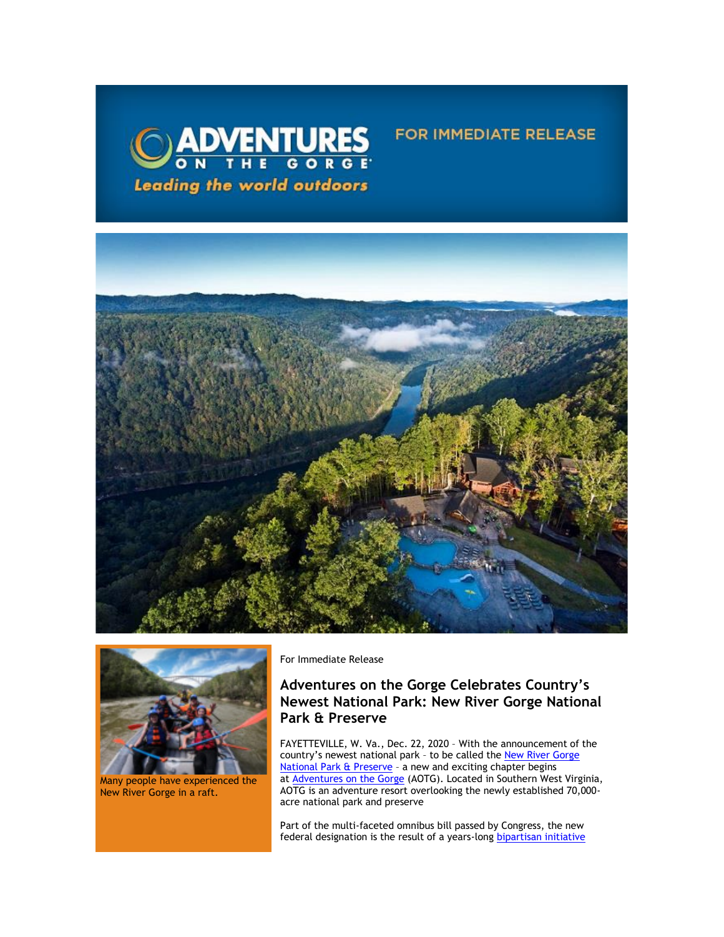



Many people have experienced the New River Gorge in a raft.

For Immediate Release

# **Adventures on the Gorge Celebrates Country's Newest National Park: New River Gorge National Park & Preserve**

FOR IMMEDIATE RELEASE

FAYETTEVILLE, W. Va., Dec. 22, 2020 – With the announcement of the country's newest national park - to be called the New River Gorge [National Park & Preserve](https://click.icptrack.com/icp/relay.php?r=13370550&msgid=468272&act=5AOA&c=1378153&destination=https%3A%2F%2Fwww.nps.gov%2Fneri%2Findex.htm&cf=13608&v=7a55c2f9fbd36050fd920611b4f9f5233236fe343627cd8afd59cdc1b46b572d) – a new and exciting chapter begins at [Adventures on the Gorge](https://click.icptrack.com/icp/relay.php?r=13370550&msgid=468272&act=5AOA&c=1378153&destination=http%3A%2F%2Fwww.adventuresonthegorge.com%2F&cf=13608&v=5a6d29c5bd89500c6946838c97b8849561ebbd48dbb2fdae9fe0068cb3f8e60e) (AOTG). Located in Southern West Virginia, AOTG is an adventure resort overlooking the newly established 70,000 acre national park and preserve

Part of the multi-faceted omnibus bill passed by Congress, the new federal designation is the result of a years-long **bipartisan initiative**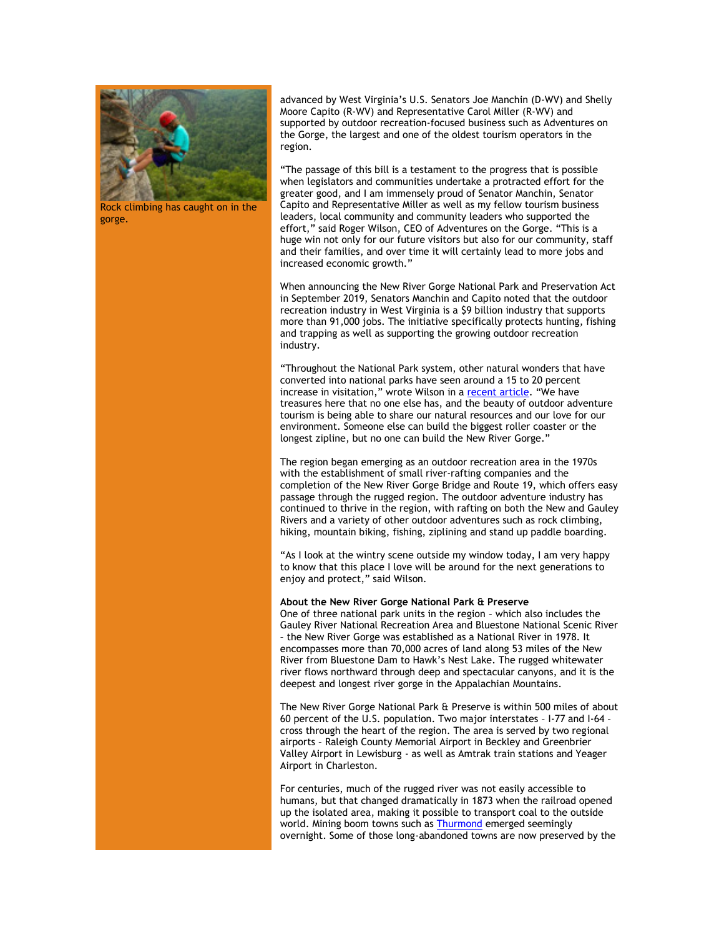

Rock climbing has caught on in the gorge.

advanced by West Virginia's U.S. Senators Joe Manchin (D-WV) and Shelly Moore Capito (R-WV) and Representative Carol Miller (R-WV) and supported by outdoor recreation-focused business such as Adventures on the Gorge, the largest and one of the oldest tourism operators in the region.

"The passage of this bill is a testament to the progress that is possible when legislators and communities undertake a protracted effort for the greater good, and I am immensely proud of Senator Manchin, Senator Capito and Representative Miller as well as my fellow tourism business leaders, local community and community leaders who supported the effort," said Roger Wilson, CEO of Adventures on the Gorge. "This is a huge win not only for our future visitors but also for our community, staff and their families, and over time it will certainly lead to more jobs and increased economic growth."

When announcing the New River Gorge National Park and Preservation Act in September 2019, Senators Manchin and Capito noted that the outdoor recreation industry in West Virginia is a \$9 billion industry that supports more than 91,000 jobs. The initiative specifically protects hunting, fishing and trapping as well as supporting the growing outdoor recreation industry.

"Throughout the National Park system, other natural wonders that have converted into national parks have seen around a 15 to 20 percent increase in visitation," wrote Wilson in a [recent article](https://click.icptrack.com/icp/relay.php?r=13370550&msgid=468272&act=5AOA&c=1378153&destination=https%3A%2F%2Fwww.bowlesrice.com%2Fmedia%2Fvision%2F1213_05_Roger_Wilson.pdf&cf=13608&v=cbf0697d58d7720ae2e87d288c0bd90b52807b5b3eb284816b9f8a27fc258c65). "We have treasures here that no one else has, and the beauty of outdoor adventure tourism is being able to share our natural resources and our love for our environment. Someone else can build the biggest roller coaster or the longest zipline, but no one can build the New River Gorge."

The region began emerging as an outdoor recreation area in the 1970s with the establishment of small river-rafting companies and the completion of the New River Gorge Bridge and Route 19, which offers easy passage through the rugged region. The outdoor adventure industry has continued to thrive in the region, with rafting on both the New and Gauley Rivers and a variety of other outdoor adventures such as rock climbing, hiking, mountain biking, fishing, ziplining and stand up paddle boarding.

"As I look at the wintry scene outside my window today, I am very happy to know that this place I love will be around for the next generations to enjoy and protect," said Wilson.

#### **About the New River Gorge National Park & Preserve**

One of three national park units in the region – which also includes the Gauley River National Recreation Area and Bluestone National Scenic River – the New River Gorge was established as a National River in 1978. It encompasses more than 70,000 acres of land along 53 miles of the New River from Bluestone Dam to Hawk's Nest Lake. The rugged whitewater river flows northward through deep and spectacular canyons, and it is the deepest and longest river gorge in the Appalachian Mountains.

The New River Gorge National Park & Preserve is within 500 miles of about 60 percent of the U.S. population. Two major interstates – I-77 and I-64 – cross through the heart of the region. The area is served by two regional airports – Raleigh County Memorial Airport in Beckley and Greenbrier Valley Airport in Lewisburg - as well as Amtrak train stations and Yeager Airport in Charleston.

For centuries, much of the rugged river was not easily accessible to humans, but that changed dramatically in 1873 when the railroad opened up the isolated area, making it possible to transport coal to the outside world. Mining boom towns such as [Thurmond](https://click.icptrack.com/icp/relay.php?r=13370550&msgid=468272&act=5AOA&c=1378153&destination=https%3A%2F%2Fadventuresonthegorge.com%2Fvirtual-tours%2Fthurmond-tour%2F&cf=13608&v=c1b6893eea58aa3d7b5e464c79083c526d28d261addc8204e4675f968e252ff8) emerged seemingly overnight. Some of those long-abandoned towns are now preserved by the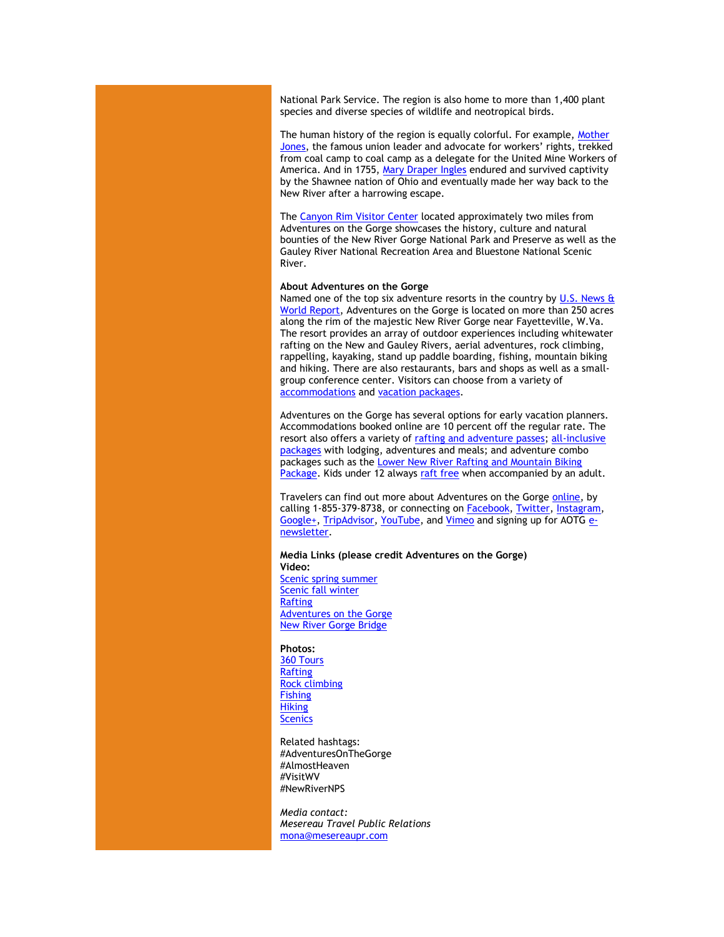National Park Service. The region is also home to more than 1,400 plant species and diverse species of wildlife and neotropical birds.

The human history of the region is equally colorful. For example, [Mother](https://click.icptrack.com/icp/relay.php?r=13370550&msgid=468272&act=5AOA&c=1378153&destination=https%3A%2F%2Fwww.nps.gov%2Fneri%2Flearn%2Fhistoryculture%2Fmotherjones.htm&cf=13608&v=10411da1be1d22f7025d45c6ecee107ad4c122668cedfbc6a84c2cb0b1179fd1)  [Jones,](https://click.icptrack.com/icp/relay.php?r=13370550&msgid=468272&act=5AOA&c=1378153&destination=https%3A%2F%2Fwww.nps.gov%2Fneri%2Flearn%2Fhistoryculture%2Fmotherjones.htm&cf=13608&v=10411da1be1d22f7025d45c6ecee107ad4c122668cedfbc6a84c2cb0b1179fd1) the famous union leader and advocate for workers' rights, trekked from coal camp to coal camp as a delegate for the United Mine Workers of America. And in 1755, [Mary Draper Ingles](https://click.icptrack.com/icp/relay.php?r=13370550&msgid=468272&act=5AOA&c=1378153&destination=https%3A%2F%2Fwww.nps.gov%2Fneri%2Flearn%2Fhistoryculture%2Fmary-draper-ingles.htm&cf=13608&v=1f6debde78e7e01fc6e920b644a710ae8467deba7bb98bf0f7074c40ac0da23d) endured and survived captivity by the Shawnee nation of Ohio and eventually made her way back to the New River after a harrowing escape.

The [Canyon Rim Visitor Center](https://click.icptrack.com/icp/relay.php?r=13370550&msgid=468272&act=5AOA&c=1378153&destination=https%3A%2F%2Fwww.nps.gov%2Fneri%2Fplanyourvisit%2Fcrvc.htm&cf=13608&v=f5845c13bbc110c016f90a2a64c7ef4da8482c73393bd81158f7436b799ac1bc) located approximately two miles from Adventures on the Gorge showcases the history, culture and natural bounties of the New River Gorge National Park and Preserve as well as the Gauley River National Recreation Area and Bluestone National Scenic River.

## **About Adventures on the Gorge**

Named one of the top six adventure resorts in the country by  $U.S.$  News  $&$ [World Report,](https://click.icptrack.com/icp/relay.php?r=13370550&msgid=468272&act=5AOA&c=1378153&destination=http%3A%2F%2Ftravel.usnews.com%2Fgallery%2Famericas-6-top-adventure-resorts&cf=13608&v=764bfdbe430f777c5bcc69b025c1a8805ca5cbb157f8c18454c411b272e07901) Adventures on the Gorge is located on more than 250 acres along the rim of the majestic New River Gorge near Fayetteville, W.Va. The resort provides an array of outdoor experiences including whitewater rafting on the New and Gauley Rivers, aerial adventures, rock climbing, rappelling, kayaking, stand up paddle boarding, fishing, mountain biking and hiking. There are also restaurants, bars and shops as well as a smallgroup conference center. Visitors can choose from a variety of [accommodations](https://click.icptrack.com/icp/relay.php?r=13370550&msgid=468272&act=5AOA&c=1378153&destination=https%3A%2F%2Fadventuresonthegorge.com%2Flodging%2F&cf=13608&v=a0a1ec07ee637c78242d3333295573a8e337130c936224b8e1d32f73fd9e88eb) an[d vacation packages.](https://click.icptrack.com/icp/relay.php?r=13370550&msgid=468272&act=5AOA&c=1378153&destination=https%3A%2F%2Fadventuresonthegorge.com%2Fpackages%2F&cf=13608&v=8751df1b896b42a43c8f638cff3537e1a0bec91ccd87a43021a073a818c593de)

Adventures on the Gorge has several options for early vacation planners. Accommodations booked online are 10 percent off the regular rate. The resort also offers a variety of [rafting and adventure passes;](https://click.icptrack.com/icp/relay.php?r=13370550&msgid=468272&act=5AOA&c=1378153&destination=https%3A%2F%2Fadventuresonthegorge.com%2F2020-adventure-passes%2F&cf=13608&v=d3096b67936a5b3ffd22faeca8e8963a2582109e23f69a1409fb392cb51a8fa7) all-inclusive [packages](https://click.icptrack.com/icp/relay.php?r=13370550&msgid=468272&act=5AOA&c=1378153&destination=https%3A%2F%2Fadventuresonthegorge.com%2Fpackages%2F&cf=13608&v=8751df1b896b42a43c8f638cff3537e1a0bec91ccd87a43021a073a818c593de) with lodging, adventures and meals; and adventure combo packages such as the [Lower New River Rafting and Mountain Biking](https://click.icptrack.com/icp/relay.php?r=13370550&msgid=468272&act=5AOA&c=1378153&destination=https%3A%2F%2Fadventuresonthegorge.com%2Fpackages%2F1-day-adventure-combo-packages%2Flower-new-river-mountain-biking-package%2F&cf=13608&v=b4713ccab202ddd2de0c3d1954cac50f205be97ff8b1f398b3b771400fa8e6e5)  [Package.](https://click.icptrack.com/icp/relay.php?r=13370550&msgid=468272&act=5AOA&c=1378153&destination=https%3A%2F%2Fadventuresonthegorge.com%2Fpackages%2F1-day-adventure-combo-packages%2Flower-new-river-mountain-biking-package%2F&cf=13608&v=b4713ccab202ddd2de0c3d1954cac50f205be97ff8b1f398b3b771400fa8e6e5) Kids under 12 always [raft free w](https://click.icptrack.com/icp/relay.php?r=13370550&msgid=468272&act=5AOA&c=1378153&destination=https%3A%2F%2Fadventuresonthegorge.com%2Foffers-and-discounts%2F&cf=13608&v=8ce5b48ee04feb9cfa1fc6e67e42d97af34b011f25b06956fde3d446df10ff49)hen accompanied by an adult.

Travelers can find out more about Adventures on the Gorge [online,](https://click.icptrack.com/icp/relay.php?r=13370550&msgid=468272&act=5AOA&c=1378153&destination=http%3A%2F%2Fwww.adventuresonthegorge.com%2F&cf=13608&v=5a6d29c5bd89500c6946838c97b8849561ebbd48dbb2fdae9fe0068cb3f8e60e) by calling 1-855-379-8738, or connecting on **Facebook**, [Twitter,](https://click.icptrack.com/icp/relay.php?r=13370550&msgid=468272&act=5AOA&c=1378153&destination=https%3A%2F%2Ftwitter.com%2Fonthegorge&cf=13608&v=44da65765a4741d2084650c093dae53617e5c7c92b9f6819d24521654e5f4fd3) [Instagram,](https://click.icptrack.com/icp/relay.php?r=13370550&msgid=468272&act=5AOA&c=1378153&destination=https%3A%2F%2Fwww.instagram.com%2Fonthegorge%2F&cf=13608&v=1ee16880632f1eb73eb9ad24dd989e2d12bd5a71d0cb5b3945f15e683acdaa9e) [Google+,](https://click.icptrack.com/icp/relay.php?r=13370550&msgid=468272&act=5AOA&c=1378153&destination=https%3A%2F%2Fplus.google.com%2F%2BAdventurewestvirginiaOnTheGorge%2Fposts&cf=13608&v=ef2665612b0c6b373f1f36a2b56fad2c6e569d53a114b963b76ab7480e59f65b) [TripAdvisor,](https://click.icptrack.com/icp/relay.php?r=13370550&msgid=468272&act=5AOA&c=1378153&destination=https%3A%2F%2Fwww.tripadvisor.com%2FAttraction_Review-g59234-d2233643-Reviews-Adventures_on_the_Gorge-Lansing_West_Virginia.html&cf=13608&v=812472f5ea0d5eed3fed4db26567b4c884479f53ef512c18d25b071271e965bc) [YouTube,](https://click.icptrack.com/icp/relay.php?r=13370550&msgid=468272&act=5AOA&c=1378153&destination=https%3A%2F%2Fwww.youtube.com%2Fuser%2FAdventuresOnTheGorge&cf=13608&v=7b71b3e994e129bfdca87c6523149b64faacb62e001d98eb26897d7c7236e8cc) and [Vimeo](https://click.icptrack.com/icp/relay.php?r=13370550&msgid=468272&act=5AOA&c=1378153&destination=https%3A%2F%2Fvimeo.com%2Fuser4260102&cf=13608&v=4ff82f41c6c552c9da3c61684889fad58e153a690bdb0b74761adab86ca752a0) and signing up for AOTG [e](https://click.icptrack.com/icp/relay.php?r=13370550&msgid=468272&act=5AOA&c=1378153&destination=https%3A%2F%2Fadventuresonthegorge.com%2F&cf=13608&v=a83cd0882452dd5ad1794082623f8c176d7586c5f6015a054a1c7b875f219550)[newsletter.](https://click.icptrack.com/icp/relay.php?r=13370550&msgid=468272&act=5AOA&c=1378153&destination=https%3A%2F%2Fadventuresonthegorge.com%2F&cf=13608&v=a83cd0882452dd5ad1794082623f8c176d7586c5f6015a054a1c7b875f219550)

#### **Media Links (please credit Adventures on the Gorge) Video:**

[Scenic spring summer](https://click.icptrack.com/icp/relay.php?r=13370550&msgid=468272&act=5AOA&c=1378153&destination=https%3A%2F%2Fwww.dropbox.com%2Fsh%2Fu7dzwp59jtkgtny%2FAAD_ZkMERaBTTkeGRX-Px4z5a%2FScenery%2FSpring_Summer%3Fdl%3D0%26subfolder_nav_tracking%3D1&cf=13608&v=dff7439c1db664d1795caf49da1a7f9808282c4475a262980a41e8dd4b4cdb96) [Scenic fall winter](https://click.icptrack.com/icp/relay.php?r=13370550&msgid=468272&act=5AOA&c=1378153&destination=https%3A%2F%2Fwww.dropbox.com%2Fsh%2Fu7dzwp59jtkgtny%2FAAAmoHrrlH7hlLro_TQ04DJMa%2FScenery%2FFall_Winter%3Fdl%3D0%26subfolder_nav_tracking%3D1&cf=13608&v=e63651807376a1946066349ac3eb47a1168815fb860a39a2d7c71f8124d2992e) [Rafting](https://click.icptrack.com/icp/relay.php?r=13370550&msgid=468272&act=5AOA&c=1378153&destination=https%3A%2F%2Fwww.dropbox.com%2Fsh%2Fu7dzwp59jtkgtny%2FAAAnK_WzowF1-G2oSP-ID17Aa%2FRafting%3Fdl%3D0%26subfolder_nav_tracking%3D1&cf=13608&v=cce19274de98d73976547e1b263ff9a300cf5947b8558077329f044d9a67c662) [Adventures on the Gorge](https://click.icptrack.com/icp/relay.php?r=13370550&msgid=468272&act=5AOA&c=1378153&destination=https%3A%2F%2Fwww.dropbox.com%2Fsh%2Fu7dzwp59jtkgtny%2FAABti4OReUbcyWQpgs6P1Ivoa%2FResort%2520Video%3Fdl%3D0%26subfolder_nav_tracking%3D1&cf=13608&v=4a30e225264566b68e54f1996466e8f95529a4708b7ec8a0ff9076a46f2e5893) [New River Gorge Bridge](https://click.icptrack.com/icp/relay.php?r=13370550&msgid=468272&act=5AOA&c=1378153&destination=https%3A%2F%2Fwww.dropbox.com%2Fsh%2Fu7dzwp59jtkgtny%2FAAABwYK16Ob1g7cgqlkWjH6Qa%2FBridge%3Fdl%3D0%26subfolder_nav_tracking%3D1&cf=13608&v=ccd385005e992fdd7e1c09de8180b0f88a34759a5cf2d29e594005cd022d9137)

## **Photos:**

[360 Tours](https://click.icptrack.com/icp/relay.php?r=13370550&msgid=468272&act=5AOA&c=1378153&destination=https%3A%2F%2Fwww.dropbox.com%2Fsh%2Ff26hk9n98ndi2l5%2FAAD5gjsAigmdOmVkkWcJ5C1Ta%2F360%3Fdl%3D0%26subfolder_nav_tracking%3D1&cf=13608&v=5ff1903a28876a6472921be3d9061c810a1c6bc10a1b7c4b133549e65171acaf) [Rafting](https://click.icptrack.com/icp/relay.php?r=13370550&msgid=468272&act=5AOA&c=1378153&destination=https%3A%2F%2Fwww.dropbox.com%2Fsh%2Ff26hk9n98ndi2l5%2FAABjRw0L-GoNv05-cIKS-wsBa%2FRafting%3Fdl%3D0%26subfolder_nav_tracking%3D1&cf=13608&v=382f6850b156445dcef3b1d8ca23a6cf5075ebb1ac217db850c949b58255e4dc) [Rock climbing](https://click.icptrack.com/icp/relay.php?r=13370550&msgid=468272&act=5AOA&c=1378153&destination=https%3A%2F%2Fwww.dropbox.com%2Fsh%2Ff26hk9n98ndi2l5%2FAABvbhszahNjDVfND8z0W2Aia%2FClimbing%3Fdl%3D0%26subfolder_nav_tracking%3D1&cf=13608&v=99d576f07a45669a71928ed6e8012fd5f9f4324348bc2cbaa4e3c22f72419d0f) **[Fishing](https://click.icptrack.com/icp/relay.php?r=13370550&msgid=468272&act=5AOA&c=1378153&destination=https%3A%2F%2Fwww.dropbox.com%2Fsh%2Ff26hk9n98ndi2l5%2FAADrZkAQNK0-TUAUPqfqOWvGa%2FFishing%3Fdl%3D0%26subfolder_nav_tracking%3D1&cf=13608&v=ffd7ca3bc9d8b81b603691b43338b9d3941b341b957265e74048f0bc104da74f) [Hiking](https://click.icptrack.com/icp/relay.php?r=13370550&msgid=468272&act=5AOA&c=1378153&destination=https%3A%2F%2Fwww.dropbox.com%2Fsh%2Ff26hk9n98ndi2l5%2FAAAFQqE37F0bwX00l50JEdwWa%2FHiking%3Fdl%3D0%26subfolder_nav_tracking%3D1&cf=13608&v=63ceb19213d16c6c4472315dcdd8fbca6f072097fef7b489727b2ff2d76d5740) [Scenics](https://click.icptrack.com/icp/relay.php?r=13370550&msgid=468272&act=5AOA&c=1378153&destination=https%3A%2F%2Fwww.dropbox.com%2Fsh%2Ff26hk9n98ndi2l5%2FAAAWoRetbLZHQgJResU-e-2Aa%2FScenery%3Fdl%3D0%26subfolder_nav_tracking%3D1&cf=13608&v=637295b71da5d9c9c0415f2148ddb8b1d47e1bc1ee9959aa1f49695564e2763d)** 

Related hashtags: #AdventuresOnTheGorge #AlmostHeaven #VisitWV #NewRiverNPS

*Media contact: Mesereau Travel Public Relations* [mona@mesereaupr.com](mailto:mona@mesereaupr.com)